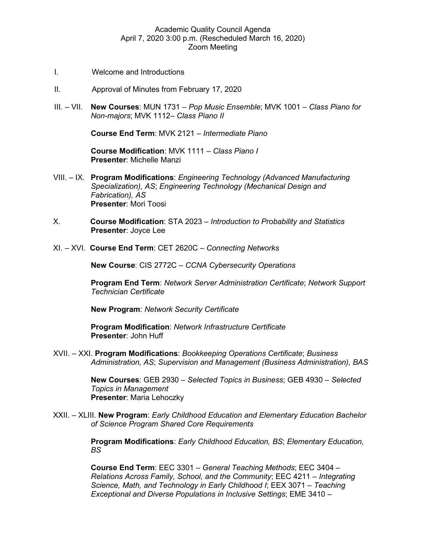## Academic Quality Council Agenda April 7, 2020 3:00 p.m. (Rescheduled March 16, 2020) Zoom Meeting

- I. Welcome and Introductions
- II. Approval of Minutes from February 17, 2020
- III. VII. **New Courses**: MUN 1731 *Pop Music Ensemble*; MVK 1001 *Class Piano for Non-majors*; MVK 1112– *Class Piano II*

**Course End Term**: MVK 2121 – *Intermediate Piano*

**Course Modification**: MVK 1111 – *Class Piano I* **Presenter**: Michelle Manzi

- VIII. IX. **Program Modifications**: *Engineering Technology (Advanced Manufacturing Specialization), AS*; *Engineering Technology (Mechanical Design and Fabrication), AS* **Presenter**: Mori Toosi
- X. **Course Modification**: STA 2023 *Introduction to Probability and Statistics* **Presenter**: Joyce Lee
- XI. XVI. **Course End Term**: CET 2620C *Connecting Networks*

**New Course**: CIS 2772C – *CCNA Cybersecurity Operations*

**Program End Term**: *Network Server Administration Certificate*; *Network Support Technician Certificate*

**New Program**: *Network Security Certificate*

**Program Modification**: *Network Infrastructure Certificate* **Presenter**: John Huff

XVII. – XXI. **Program Modifications**: *Bookkeeping Operations Certificate*; *Business Administration, AS*; *Supervision and Management (Business Administration), BAS*

> **New Courses**: GEB 2930 – *Selected Topics in Business*; GEB 4930 – *Selected Topics in Management* **Presenter**: Maria Lehoczky

XXII. – XLIII. **New Program**: *Early Childhood Education and Elementary Education Bachelor of Science Program Shared Core Requirements*

> **Program Modifications**: *Early Childhood Education, BS*; *Elementary Education, BS*

**Course End Term**: EEC 3301 – *General Teaching Methods*; EEC 3404 – *Relations Across Family, School, and the Community*; EEC 4211 – *Integrating Science, Math, and Technology in Early Childhood I*; EEX 3071 – *Teaching Exceptional and Diverse Populations in Inclusive Settings*; EME 3410 –